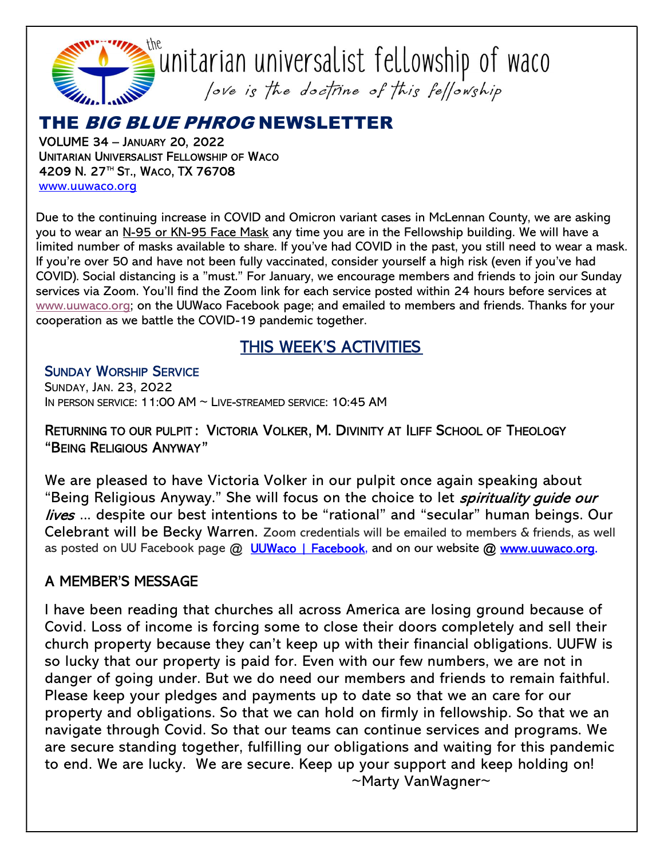

 $\tilde{a}$ unitarian universalist fellowship of waco Jove is the doctrine of this fellowship

# THE BIG BLUE PHROG NEWSLETTER

VOLUME 34 – JANUARY 20, 2022 UNITARIAN UNIVERSALIST FELLOWSHIP OF WACO 4209 N. 27™ St., Waco, TX 76708 www.uuwaco.org

Due to the continuing increase in COVID and Omicron variant cases in McLennan County, we are asking you to wear an N-95 or KN-95 Face Mask any time you are in the Fellowship building. We will have a limited number of masks available to share. If you've had COVID in the past, you still need to wear a mask. If you're over 50 and have not been fully vaccinated, consider yourself a high risk (even if you've had COVID). Social distancing is a "must." For January, we encourage members and friends to join our Sunday services via Zoom. You'll find the Zoom link for each service posted within 24 hours before services at www.uuwaco.org; on the UUWaco Facebook page; and emailed to members and friends. Thanks for your cooperation as we battle the COVID-19 pandemic together.

## THIS WEEK'S ACTIVITIES

SUNDAY WORSHIP SERVICE SUNDAY, JAN. 23, 2022 IN PERSON SERVICE: 11:00 AM ~ LIVE-STREAMED SERVICE: 10:45 AM

#### RETURNING TO OUR PULPIT : VICTORIA VOLKER, M. DIVINITY AT ILIFF SCHOOL OF THEOLOGY "BEING RELIGIOUS ANYWAY"

We are pleased to have Victoria Volker in our pulpit once again speaking about "Being Religious Anyway." She will focus on the choice to let *spirituality guide our* lives ... despite our best intentions to be "rational" and "secular" human beings. Our Celebrant will be Becky Warren. Zoom credentials will be emailed to members & friends, as well as posted on UU Facebook page @ UUWaco | Facebook, and on our website @ www.uuwaco.org.

## A MEMBER'S MESSAGE

I have been reading that churches all across America are losing ground because of Covid. Loss of income is forcing some to close their doors completely and sell their church property because they can't keep up with their financial obligations. UUFW is so lucky that our property is paid for. Even with our few numbers, we are not in danger of going under. But we do need our members and friends to remain faithful. Please keep your pledges and payments up to date so that we an care for our property and obligations. So that we can hold on firmly in fellowship. So that we an navigate through Covid. So that our teams can continue services and programs. We are secure standing together, fulfilling our obligations and waiting for this pandemic to end. We are lucky. We are secure. Keep up your support and keep holding on! ~Marty VanWagner~